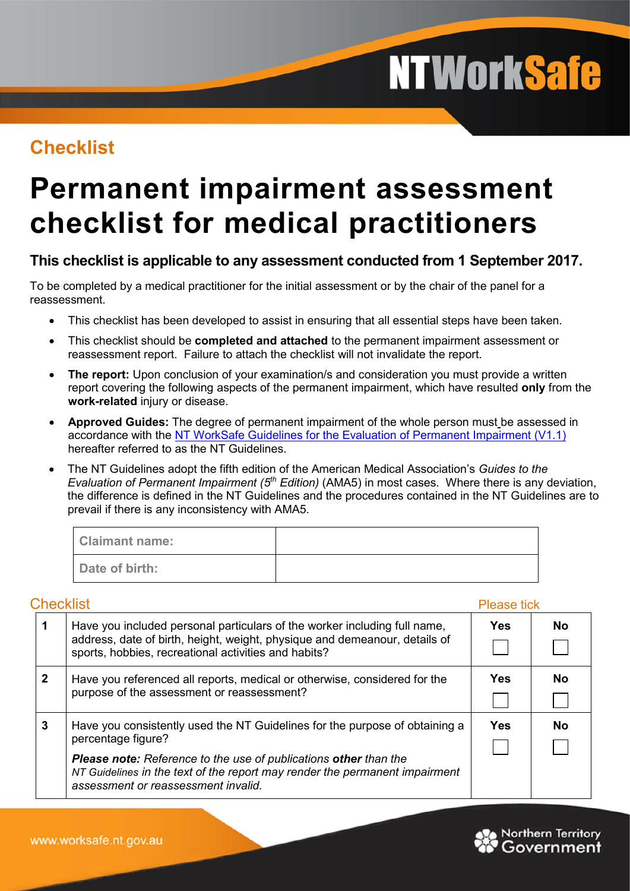# **NTWorkSafe**

## **Checklist**

# **Permanent impairment assessment checklist for medical practitioners**

### **This checklist is applicable to any assessment conducted from 1 September 2017.**

To be completed by a medical practitioner for the initial assessment or by the chair of the panel for a reassessment.

- This checklist has been developed to assist in ensuring that all essential steps have been taken.
- This checklist should be **completed and attached** to the permanent impairment assessment or reassessment report. Failure to attach the checklist will not invalidate the report.
- **The report:** Upon conclusion of your examination/s and consideration you must provide a written report covering the following aspects of the permanent impairment, which have resulted **only** from the **work-related** injury or disease.
- **Approved Guides:** The degree of permanent impairment of the whole person must be assessed in accordance with the [NT WorkSafe Guidelines for the Evaluation of Permanent Impairment \(V1.1\)](https://worksafe.nt.gov.au/__data/assets/pdf_file/0005/686642/nt-guidelines-for-the-evaluation-of-permanent-impairment.pdf) hereafter referred to as the NT Guidelines.
- The NT Guidelines adopt the fifth edition of the American Medical Association's *Guides to the Evaluation of Permanent Impairment (5th Edition)* (AMA5) in most cases. Where there is any deviation, the difference is defined in the NT Guidelines and the procedures contained in the NT Guidelines are to prevail if there is any inconsistency with AMA5.

| <b>Claimant name:</b> |  |
|-----------------------|--|
| Date of birth:        |  |

#### **Checklist** Please tick **1** Have you included personal particulars of the worker including full name, **Yes No** address, date of birth, height, weight, physique and demeanour, details of  $\mathcal{L}_{\mathcal{A}}$  $\blacksquare$ sports, hobbies, recreational activities and habits? **2** Have you referenced all reports, medical or otherwise, considered for the **Yes No** purpose of the assessment or reassessment? **3** Have you consistently used the NT Guidelines for the purpose of obtaining a **Yes No**percentage figure? *Please note: Reference to the use of publications other than the NT Guidelines in the text of the report may render the permanent impairment assessment or reassessment invalid.*